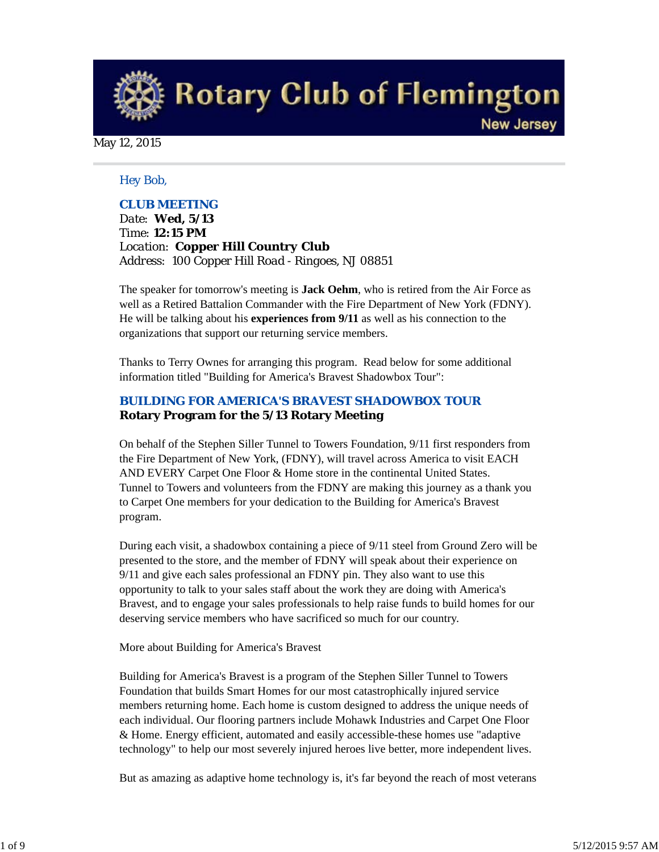**Rotary Club of Flemington** 

**New Jersey** 

May 12, 2015

#### *Hey Bob,*

### *CLUB MEETING*

*Date: Wed, 5/13 Time: 12:15 PM Location: Copper Hill Country Club Address: 100 Copper Hill Road - Ringoes, NJ 08851*

The speaker for tomorrow's meeting is **Jack Oehm**, who is retired from the Air Force as well as a Retired Battalion Commander with the Fire Department of New York (FDNY). He will be talking about his **experiences from 9/11** as well as his connection to the organizations that support our returning service members.

Thanks to Terry Ownes for arranging this program. Read below for some additional information titled "Building for America's Bravest Shadowbox Tour":

## *BUILDING FOR AMERICA'S BRAVEST SHADOWBOX TOUR* **Rotary Program for the 5/13 Rotary Meeting**

On behalf of the Stephen Siller Tunnel to Towers Foundation, 9/11 first responders from the Fire Department of New York, (FDNY), will travel across America to visit EACH AND EVERY Carpet One Floor & Home store in the continental United States. Tunnel to Towers and volunteers from the FDNY are making this journey as a thank you to Carpet One members for your dedication to the Building for America's Bravest program.

During each visit, a shadowbox containing a piece of 9/11 steel from Ground Zero will be presented to the store, and the member of FDNY will speak about their experience on 9/11 and give each sales professional an FDNY pin. They also want to use this opportunity to talk to your sales staff about the work they are doing with America's Bravest, and to engage your sales professionals to help raise funds to build homes for our deserving service members who have sacrificed so much for our country.

#### More about Building for America's Bravest

Building for America's Bravest is a program of the Stephen Siller Tunnel to Towers Foundation that builds Smart Homes for our most catastrophically injured service members returning home. Each home is custom designed to address the unique needs of each individual. Our flooring partners include Mohawk Industries and Carpet One Floor & Home. Energy efficient, automated and easily accessible-these homes use "adaptive technology" to help our most severely injured heroes live better, more independent lives.

But as amazing as adaptive home technology is, it's far beyond the reach of most veterans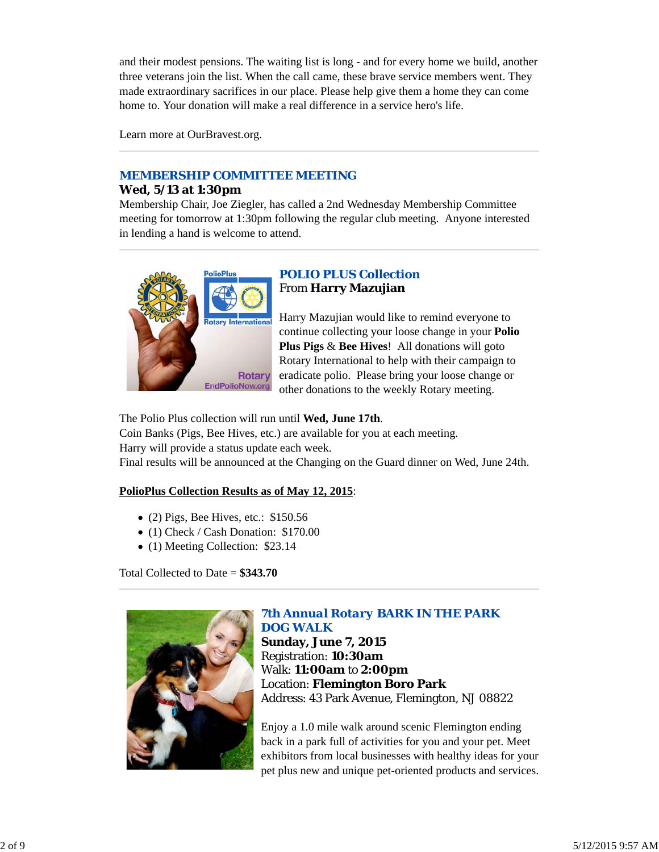and their modest pensions. The waiting list is long - and for every home we build, another three veterans join the list. When the call came, these brave service members went. They made extraordinary sacrifices in our place. Please help give them a home they can come home to. Your donation will make a real difference in a service hero's life.

Learn more at OurBravest.org.

# *MEMBERSHIP COMMITTEE MEETING*

### **Wed, 5/13 at 1:30pm**

Membership Chair, Joe Ziegler, has called a 2nd Wednesday Membership Committee meeting for tomorrow at 1:30pm following the regular club meeting. Anyone interested in lending a hand is welcome to attend.



# *POLIO PLUS Collection* From **Harry Mazujian**

Harry Mazujian would like to remind everyone to continue collecting your loose change in your **Polio Plus Pigs** & **Bee Hives**! All donations will goto Rotary International to help with their campaign to eradicate polio. Please bring your loose change or other donations to the weekly Rotary meeting.

The Polio Plus collection will run until **Wed, June 17th**.

Coin Banks (Pigs, Bee Hives, etc.) are available for you at each meeting. Harry will provide a status update each week. Final results will be announced at the Changing on the Guard dinner on Wed, June 24th.

# **PolioPlus Collection Results as of May 12, 2015**:

- $\bullet$  (2) Pigs, Bee Hives, etc.: \$150.56
- (1) Check / Cash Donation: \$170.00
- (1) Meeting Collection: \$23.14

Total Collected to Date = **\$343.70**



# *7th Annual Rotary BARK IN THE PARK DOG WALK* **Sunday, June 7, 2015**

Registration: **10:30am** Walk: **11:00am** to **2:00pm** Location: **Flemington Boro Park** Address: 43 Park Avenue, Flemington, NJ 08822

Enjoy a 1.0 mile walk around scenic Flemington ending back in a park full of activities for you and your pet. Meet exhibitors from local businesses with healthy ideas for your pet plus new and unique pet-oriented products and services.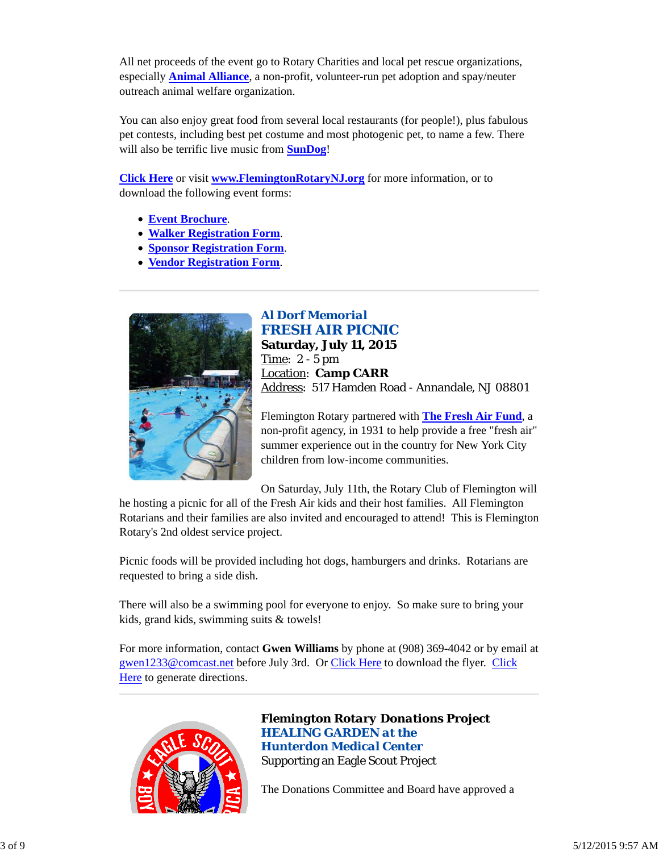All net proceeds of the event go to Rotary Charities and local pet rescue organizations, especially **Animal Alliance**, a non-profit, volunteer-run pet adoption and spay/neuter outreach animal welfare organization.

You can also enjoy great food from several local restaurants (for people!), plus fabulous pet contests, including best pet costume and most photogenic pet, to name a few. There will also be terrific live music from **SunDog**!

**Click Here** or visit **www.FlemingtonRotaryNJ.org** for more information, or to download the following event forms:

- **Event Brochure**.
- **Walker Registration Form**.
- **Sponsor Registration Form**.
- **Vendor Registration Form**.



# *Al Dorf Memorial FRESH AIR PICNIC*

**Saturday, July 11, 2015** Time: 2 - 5 pm Location: **Camp CARR** Address: 517 Hamden Road - Annandale, NJ 08801

Flemington Rotary partnered with **The Fresh Air Fund**, a non-profit agency, in 1931 to help provide a free "fresh air" summer experience out in the country for New York City children from low-income communities.

On Saturday, July 11th, the Rotary Club of Flemington will he hosting a picnic for all of the Fresh Air kids and their host families. All Flemington Rotarians and their families are also invited and encouraged to attend! This is Flemington Rotary's 2nd oldest service project.

Picnic foods will be provided including hot dogs, hamburgers and drinks. Rotarians are requested to bring a side dish.

There will also be a swimming pool for everyone to enjoy. So make sure to bring your kids, grand kids, swimming suits & towels!

For more information, contact **Gwen Williams** by phone at (908) 369-4042 or by email at gwen1233@comcast.net before July 3rd. Or Click Here to download the flyer. Click Here to generate directions.



*Flemington Rotary Donations Project HEALING GARDEN at the Hunterdon Medical Center* Supporting an Eagle Scout Project

The Donations Committee and Board have approved a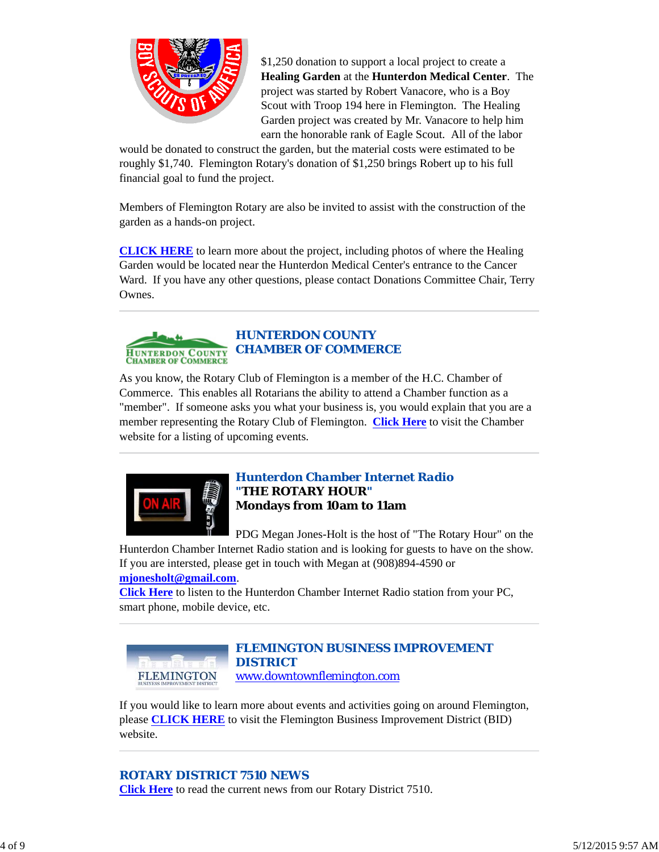

\$1,250 donation to support a local project to create a **Healing Garden** at the **Hunterdon Medical Center**. The project was started by Robert Vanacore, who is a Boy Scout with Troop 194 here in Flemington. The Healing Garden project was created by Mr. Vanacore to help him earn the honorable rank of Eagle Scout. All of the labor

would be donated to construct the garden, but the material costs were estimated to be roughly \$1,740. Flemington Rotary's donation of \$1,250 brings Robert up to his full financial goal to fund the project.

Members of Flemington Rotary are also be invited to assist with the construction of the garden as a hands-on project.

**CLICK HERE** to learn more about the project, including photos of where the Healing Garden would be located near the Hunterdon Medical Center's entrance to the Cancer Ward. If you have any other questions, please contact Donations Committee Chair, Terry Ownes.



As you know, the Rotary Club of Flemington is a member of the H.C. Chamber of Commerce. This enables all Rotarians the ability to attend a Chamber function as a "member". If someone asks you what your business is, you would explain that you are a member representing the Rotary Club of Flemington. **Click Here** to visit the Chamber website for a listing of upcoming events.



## *Hunterdon Chamber Internet Radio "THE ROTARY HOUR"* **Mondays from 10am to 11am**

PDG Megan Jones-Holt is the host of "The Rotary Hour" on the Hunterdon Chamber Internet Radio station and is looking for guests to have on the show.

If you are intersted, please get in touch with Megan at (908)894-4590 or **mjonesholt@gmail.com**.

**Click Here** to listen to the Hunterdon Chamber Internet Radio station from your PC, smart phone, mobile device, etc.



# *FLEMINGTON BUSINESS IMPROVEMENT DISTRICT*

www.downtownflemington.com

If you would like to learn more about events and activities going on around Flemington, please **CLICK HERE** to visit the Flemington Business Improvement District (BID) website.

# *ROTARY DISTRICT 7510 NEWS*

**Click Here** to read the current news from our Rotary District 7510.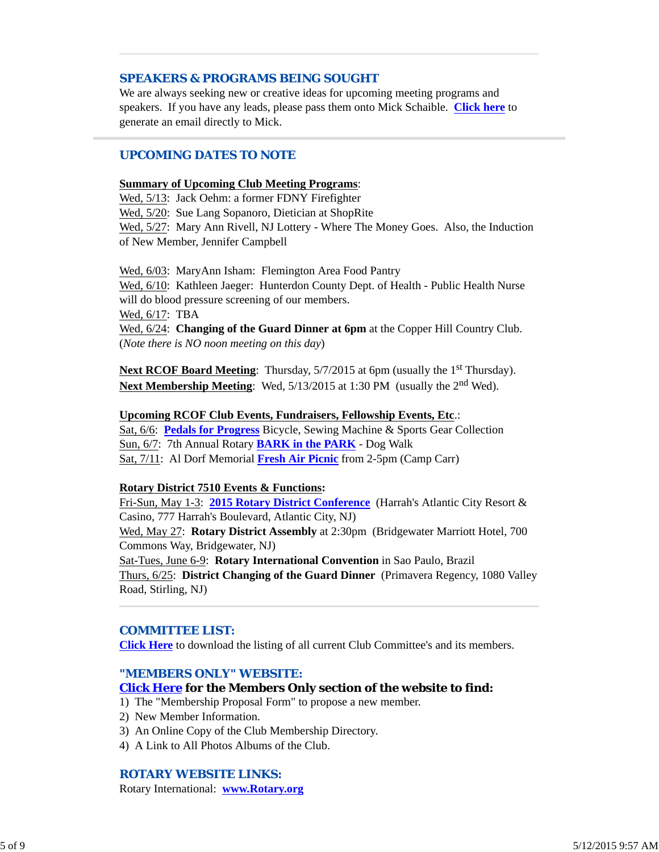### *SPEAKERS & PROGRAMS BEING SOUGHT*

We are always seeking new or creative ideas for upcoming meeting programs and speakers. If you have any leads, please pass them onto Mick Schaible. **Click here** to generate an email directly to Mick.

### *UPCOMING DATES TO NOTE*

#### **Summary of Upcoming Club Meeting Programs**:

Wed, 5/13: Jack Oehm: a former FDNY Firefighter Wed, 5/20: Sue Lang Sopanoro, Dietician at ShopRite Wed, 5/27: Mary Ann Rivell, NJ Lottery - Where The Money Goes. Also, the Induction of New Member, Jennifer Campbell

Wed, 6/03: MaryAnn Isham: Flemington Area Food Pantry Wed, 6/10: Kathleen Jaeger: Hunterdon County Dept. of Health - Public Health Nurse will do blood pressure screening of our members. Wed, 6/17: TBA Wed, 6/24: **Changing of the Guard Dinner at 6pm** at the Copper Hill Country Club. (*Note there is NO noon meeting on this day*)

**Next RCOF Board Meeting:** Thursday, 5/7/2015 at 6pm (usually the 1<sup>st</sup> Thursday). **Next Membership Meeting**: Wed, 5/13/2015 at 1:30 PM (usually the 2<sup>nd</sup> Wed).

### **Upcoming RCOF Club Events, Fundraisers, Fellowship Events, Etc**.:

Sat, 6/6: **Pedals for Progress** Bicycle, Sewing Machine & Sports Gear Collection Sun, 6/7: 7th Annual Rotary **BARK in the PARK** - Dog Walk Sat, 7/11: Al Dorf Memorial **Fresh Air Picnic** from 2-5pm (Camp Carr)

### **Rotary District 7510 Events & Functions:**

Fri-Sun, May 1-3: **2015 Rotary District Conference** (Harrah's Atlantic City Resort & Casino, 777 Harrah's Boulevard, Atlantic City, NJ)

Wed, May 27: **Rotary District Assembly** at 2:30pm (Bridgewater Marriott Hotel, 700 Commons Way, Bridgewater, NJ)

Sat-Tues, June 6-9: **Rotary International Convention** in Sao Paulo, Brazil Thurs, 6/25: **District Changing of the Guard Dinner** (Primavera Regency, 1080 Valley Road, Stirling, NJ)

#### *COMMITTEE LIST:*

**Click Here** to download the listing of all current Club Committee's and its members.

#### *"MEMBERS ONLY" WEBSITE:*

#### **Click Here for the Members Only section of the website to find:**

1) The "Membership Proposal Form" to propose a new member.

- 2) New Member Information.
- 3) An Online Copy of the Club Membership Directory.
- 4) A Link to All Photos Albums of the Club.

### *ROTARY WEBSITE LINKS:*

Rotary International: **www.Rotary.org**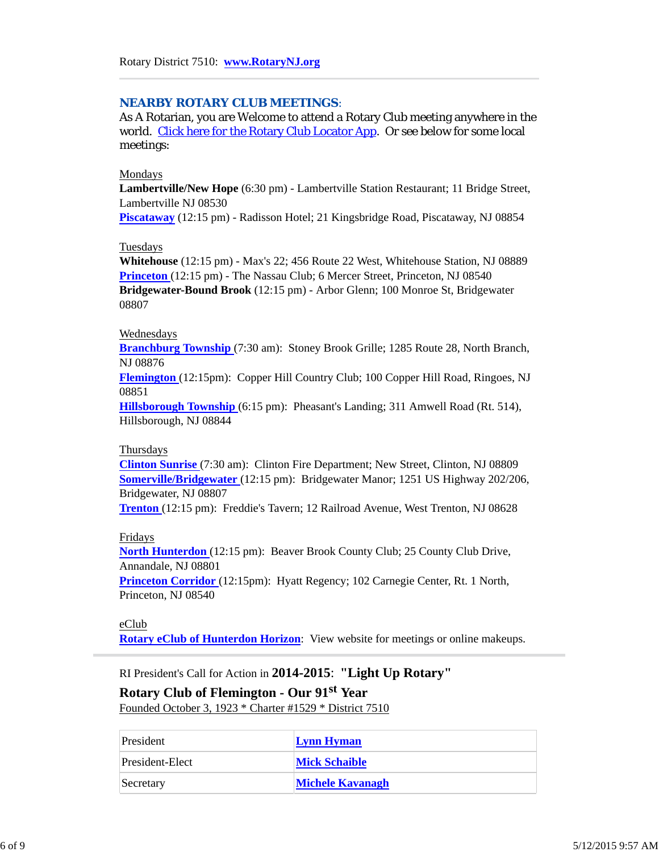#### *NEARBY ROTARY CLUB MEETINGS:*

As A Rotarian, you are Welcome to attend a Rotary Club meeting anywhere in the world. Click here for the Rotary Club Locator App. Or see below for some local meetings:

#### Mondays

**Lambertville/New Hope** (6:30 pm) - Lambertville Station Restaurant; 11 Bridge Street, Lambertville NJ 08530

**Piscataway** (12:15 pm) - Radisson Hotel; 21 Kingsbridge Road, Piscataway, NJ 08854

#### Tuesdays

**Whitehouse** (12:15 pm) - Max's 22; 456 Route 22 West, Whitehouse Station, NJ 08889 **Princeton** (12:15 pm) - The Nassau Club; 6 Mercer Street, Princeton, NJ 08540 **Bridgewater-Bound Brook** (12:15 pm) - Arbor Glenn; 100 Monroe St, Bridgewater 08807

#### Wednesdays

**Branchburg Township** (7:30 am): Stoney Brook Grille; 1285 Route 28, North Branch, NJ 08876

**Flemington** (12:15pm): Copper Hill Country Club; 100 Copper Hill Road, Ringoes, NJ 08851

**Hillsborough Township** (6:15 pm): Pheasant's Landing; 311 Amwell Road (Rt. 514), Hillsborough, NJ 08844

#### Thursdays

**Clinton Sunrise** (7:30 am): Clinton Fire Department; New Street, Clinton, NJ 08809 **Somerville/Bridgewater** (12:15 pm): Bridgewater Manor; 1251 US Highway 202/206, Bridgewater, NJ 08807

**Trenton** (12:15 pm): Freddie's Tavern; 12 Railroad Avenue, West Trenton, NJ 08628

#### Fridays

**North Hunterdon** (12:15 pm): Beaver Brook County Club; 25 County Club Drive, Annandale, NJ 08801

**Princeton Corridor** (12:15pm): Hyatt Regency; 102 Carnegie Center, Rt. 1 North, Princeton, NJ 08540

#### eClub

**Rotary eClub of Hunterdon Horizon**: View website for meetings or online makeups.

RI President's Call for Action in **2014-2015**: **"Light Up Rotary"**

# **Rotary Club of Flemington - Our 91st Year**

Founded October 3, 1923 \* Charter #1529 \* District 7510

| President       | <b>Lynn Hyman</b>       |
|-----------------|-------------------------|
| President-Elect | <b>Mick Schaible</b>    |
| Secretary       | <b>Michele Kavanagh</b> |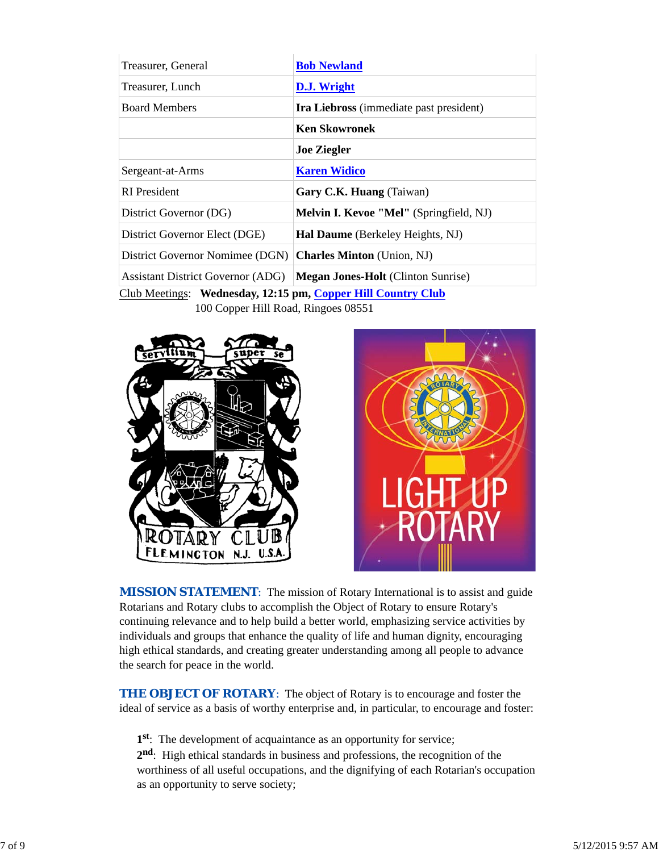| Treasurer, General                                                                                    | <b>Bob Newland</b>                             |  |  |
|-------------------------------------------------------------------------------------------------------|------------------------------------------------|--|--|
| Treasurer, Lunch                                                                                      | D.J. Wright                                    |  |  |
| <b>Board Members</b>                                                                                  | <b>Ira Liebross</b> (immediate past president) |  |  |
|                                                                                                       | <b>Ken Skowronek</b>                           |  |  |
|                                                                                                       | <b>Joe Ziegler</b>                             |  |  |
| Sergeant-at-Arms                                                                                      | <b>Karen Widico</b>                            |  |  |
| <b>RI</b> President                                                                                   | Gary C.K. Huang (Taiwan)                       |  |  |
| District Governor (DG)                                                                                | <b>Melvin I. Kevoe "Mel"</b> (Springfield, NJ) |  |  |
| District Governor Elect (DGE)                                                                         | Hal Daume (Berkeley Heights, NJ)               |  |  |
| District Governor Nomimee (DGN)                                                                       | <b>Charles Minton</b> (Union, NJ)              |  |  |
| <b>Assistant District Governor (ADG)</b>                                                              | <b>Megan Jones-Holt</b> (Clinton Sunrise)      |  |  |
| $C_{\text{lab}}$ Meetings. Wednesday 19.15 nm $C_{\text{emn}}$ Will $C_{\text{emn}}$ $C_{\text{lab}}$ |                                                |  |  |

Club Meetings: **Wednesday, 12:15 pm, Copper Hill Country Club** 100 Copper Hill Road, Ringoes 08551





*MISSION STATEMENT*: The mission of Rotary International is to assist and guide Rotarians and Rotary clubs to accomplish the Object of Rotary to ensure Rotary's continuing relevance and to help build a better world, emphasizing service activities by individuals and groups that enhance the quality of life and human dignity, encouraging high ethical standards, and creating greater understanding among all people to advance the search for peace in the world.

**THE OBJECT OF ROTARY:** The object of Rotary is to encourage and foster the ideal of service as a basis of worthy enterprise and, in particular, to encourage and foster:

**1st**: The development of acquaintance as an opportunity for service;

**2nd**: High ethical standards in business and professions, the recognition of the worthiness of all useful occupations, and the dignifying of each Rotarian's occupation as an opportunity to serve society;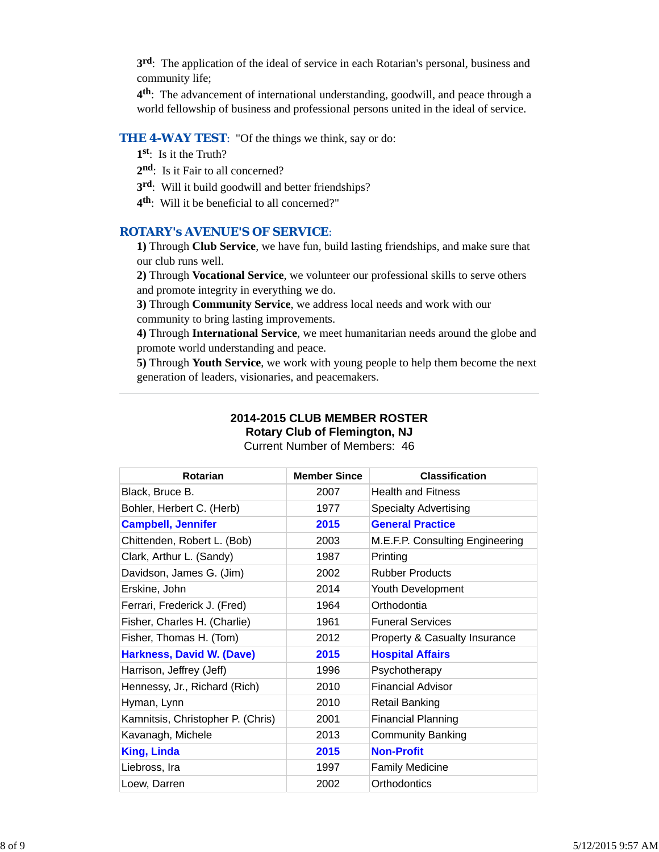**3rd**: The application of the ideal of service in each Rotarian's personal, business and community life;

**4th**: The advancement of international understanding, goodwill, and peace through a world fellowship of business and professional persons united in the ideal of service.

# **THE 4-WAY TEST:** "Of the things we think, say or do:

- **1st**: Is it the Truth?
- 2<sup>nd</sup>: Is it Fair to all concerned?
- **3rd**: Will it build goodwill and better friendships?
- **4th**: Will it be beneficial to all concerned?"

## *ROTARY's AVENUE'S OF SERVICE*:

**1)** Through **Club Service**, we have fun, build lasting friendships, and make sure that our club runs well.

**2)** Through **Vocational Service**, we volunteer our professional skills to serve others and promote integrity in everything we do.

**3)** Through **Community Service**, we address local needs and work with our community to bring lasting improvements.

**4)** Through **International Service**, we meet humanitarian needs around the globe and promote world understanding and peace.

**5)** Through **Youth Service**, we work with young people to help them become the next generation of leaders, visionaries, and peacemakers.

# **2014-2015 CLUB MEMBER ROSTER Rotary Club of Flemington, NJ**

Current Number of Members: 46

| <b>Rotarian</b>                   | <b>Member Since</b> | <b>Classification</b>                    |
|-----------------------------------|---------------------|------------------------------------------|
| Black, Bruce B.                   | 2007                | <b>Health and Fitness</b>                |
| Bohler, Herbert C. (Herb)         | 1977                | <b>Specialty Advertising</b>             |
| <b>Campbell, Jennifer</b>         | 2015                | <b>General Practice</b>                  |
| Chittenden, Robert L. (Bob)       | 2003                | M.E.F.P. Consulting Engineering          |
| Clark, Arthur L. (Sandy)          | 1987                | Printing                                 |
| Davidson, James G. (Jim)          | 2002                | <b>Rubber Products</b>                   |
| Erskine, John                     | 2014                | Youth Development                        |
| Ferrari, Frederick J. (Fred)      | 1964                | Orthodontia                              |
| Fisher, Charles H. (Charlie)      | 1961                | <b>Funeral Services</b>                  |
| Fisher, Thomas H. (Tom)           | 2012                | <b>Property &amp; Casualty Insurance</b> |
| Harkness, David W. (Dave)         | 2015                | <b>Hospital Affairs</b>                  |
| Harrison, Jeffrey (Jeff)          | 1996                | Psychotherapy                            |
| Hennessy, Jr., Richard (Rich)     | 2010                | <b>Financial Advisor</b>                 |
| Hyman, Lynn                       | 2010                | <b>Retail Banking</b>                    |
| Kamnitsis, Christopher P. (Chris) | 2001                | <b>Financial Planning</b>                |
| Kavanagh, Michele                 | 2013                | <b>Community Banking</b>                 |
| <b>King, Linda</b>                | 2015                | <b>Non-Profit</b>                        |
| Liebross, Ira                     | 1997                | <b>Family Medicine</b>                   |
| Loew, Darren                      | 2002                | Orthodontics                             |